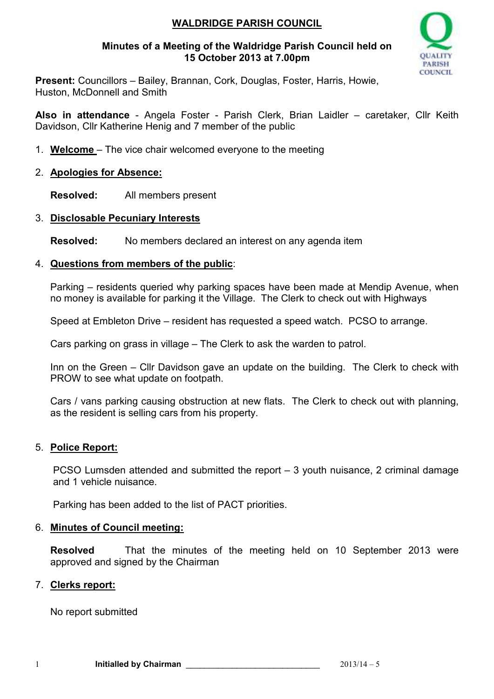# **WALDRIDGE PARISH COUNCIL**

#### **Minutes of a Meeting of the Waldridge Parish Council held on 15 October 2013 at 7.00pm**



**Present:** Councillors – Bailey, Brannan, Cork, Douglas, Foster, Harris, Howie, Huston, McDonnell and Smith

**Also in attendance** - Angela Foster - Parish Clerk, Brian Laidler – caretaker, Cllr Keith Davidson, Cllr Katherine Henig and 7 member of the public

1. **Welcome** – The vice chair welcomed everyone to the meeting

## 2. **Apologies for Absence:**

**Resolved:** All members present

### 3. **Disclosable Pecuniary Interests**

**Resolved:** No members declared an interest on any agenda item

### 4. **Questions from members of the public**:

Parking – residents queried why parking spaces have been made at Mendip Avenue, when no money is available for parking it the Village. The Clerk to check out with Highways

Speed at Embleton Drive – resident has requested a speed watch. PCSO to arrange.

Cars parking on grass in village – The Clerk to ask the warden to patrol.

Inn on the Green – Cllr Davidson gave an update on the building. The Clerk to check with PROW to see what update on footpath.

Cars / vans parking causing obstruction at new flats. The Clerk to check out with planning, as the resident is selling cars from his property.

# 5. **Police Report:**

PCSO Lumsden attended and submitted the report – 3 youth nuisance, 2 criminal damage and 1 vehicle nuisance.

Parking has been added to the list of PACT priorities.

#### 6. **Minutes of Council meeting:**

**Resolved** That the minutes of the meeting held on 10 September 2013 were approved and signed by the Chairman

#### 7. **Clerks report:**

No report submitted

1 **Initialled by Chairman CONSERVING CONSUMING CONSUMING CONSUMING CONSUMING CONSUMING CONSUMING CONSUMING CONSUMING CONSUMING CONSUMING CONSUMING CONSUMING CONSUMING CONSUMING CONSUMING CONSUMING CONSUMING CONSUMING CON**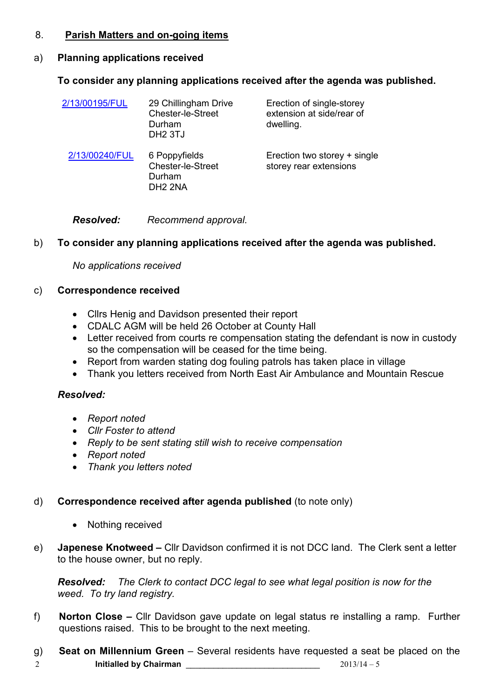## 8. **Parish Matters and on-going items**

# a) **Planning applications received**

# **To consider any planning applications received after the agenda was published.**

| 2/13/00195/FUL | 29 Chillingham Drive<br>Chester-le-Street<br>Durham<br>DH <sub>2</sub> 3TJ | Erection of single-storey<br>extension at side/rear of<br>dwelling. |
|----------------|----------------------------------------------------------------------------|---------------------------------------------------------------------|
| 2/13/00240/FUL | 6 Poppyfields<br>Chester-le-Street<br>Durham<br>DH <sub>2</sub> 2NA        | Erection two storey + single<br>storey rear extensions              |

*Resolved: Recommend approval.* 

# b) **To consider any planning applications received after the agenda was published.**

*No applications received*

# c) **Correspondence received**

- Cllrs Henig and Davidson presented their report
- CDALC AGM will be held 26 October at County Hall
- Letter received from courts re compensation stating the defendant is now in custody so the compensation will be ceased for the time being.
- Report from warden stating dog fouling patrols has taken place in village
- Thank you letters received from North East Air Ambulance and Mountain Rescue

# *Resolved:*

- *Report noted*
- *Cllr Foster to attend*
- *Reply to be sent stating still wish to receive compensation*
- *Report noted*
- *Thank you letters noted*

# d) **Correspondence received after agenda published** (to note only)

- Nothing received
- e) **Japenese Knotweed** Cllr Davidson confirmed it is not DCC land. The Clerk sent a letter to the house owner, but no reply.

*Resolved: The Clerk to contact DCC legal to see what legal position is now for the weed. To try land registry.* 

- f) **Norton Close** Cllr Davidson gave update on legal status re installing a ramp. Further questions raised. This to be brought to the next meeting.
- 2 **Initialled by Chairman** \_\_\_\_\_\_\_\_\_\_\_\_\_\_\_\_\_\_\_\_\_\_\_\_\_\_\_\_\_ 2013/14 5 g) **Seat on Millennium Green** – Several residents have requested a seat be placed on the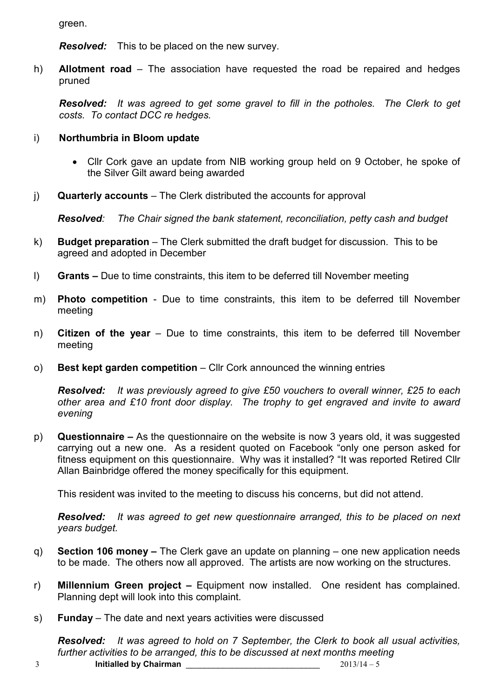green.

*Resolved:* This to be placed on the new survey.

h) **Allotment road** – The association have requested the road be repaired and hedges pruned

*Resolved: It was agreed to get some gravel to fill in the potholes. The Clerk to get costs. To contact DCC re hedges.*

## i) **Northumbria in Bloom update**

- Cllr Cork gave an update from NIB working group held on 9 October, he spoke of the Silver Gilt award being awarded
- j) **Quarterly accounts**  The Clerk distributed the accounts for approval

*Resolved: The Chair signed the bank statement, reconciliation, petty cash and budget* 

- k) **Budget preparation**  The Clerk submitted the draft budget for discussion. This to be agreed and adopted in December
- l) **Grants** Due to time constraints, this item to be deferred till November meeting
- m) **Photo competition** Due to time constraints, this item to be deferred till November meeting
- n) **Citizen of the year**  Due to time constraints, this item to be deferred till November meeting
- o) **Best kept garden competition**  Cllr Cork announced the winning entries

*Resolved: It was previously agreed to give £50 vouchers to overall winner, £25 to each other area and £10 front door display. The trophy to get engraved and invite to award evening* 

p) **Questionnaire –** As the questionnaire on the website is now 3 years old, it was suggested carrying out a new one. As a resident quoted on Facebook "only one person asked for fitness equipment on this questionnaire. Why was it installed? "It was reported Retired Cllr Allan Bainbridge offered the money specifically for this equipment.

This resident was invited to the meeting to discuss his concerns, but did not attend.

*Resolved: It was agreed to get new questionnaire arranged, this to be placed on next years budget.* 

- q) **Section 106 money –** The Clerk gave an update on planning one new application needs to be made. The others now all approved. The artists are now working on the structures.
- r) **Millennium Green project** Equipment now installed. One resident has complained. Planning dept will look into this complaint.
- s) **Funday**  The date and next years activities were discussed

*Resolved: It was agreed to hold on 7 September, the Clerk to book all usual activities, further activities to be arranged, this to be discussed at next months meeting*